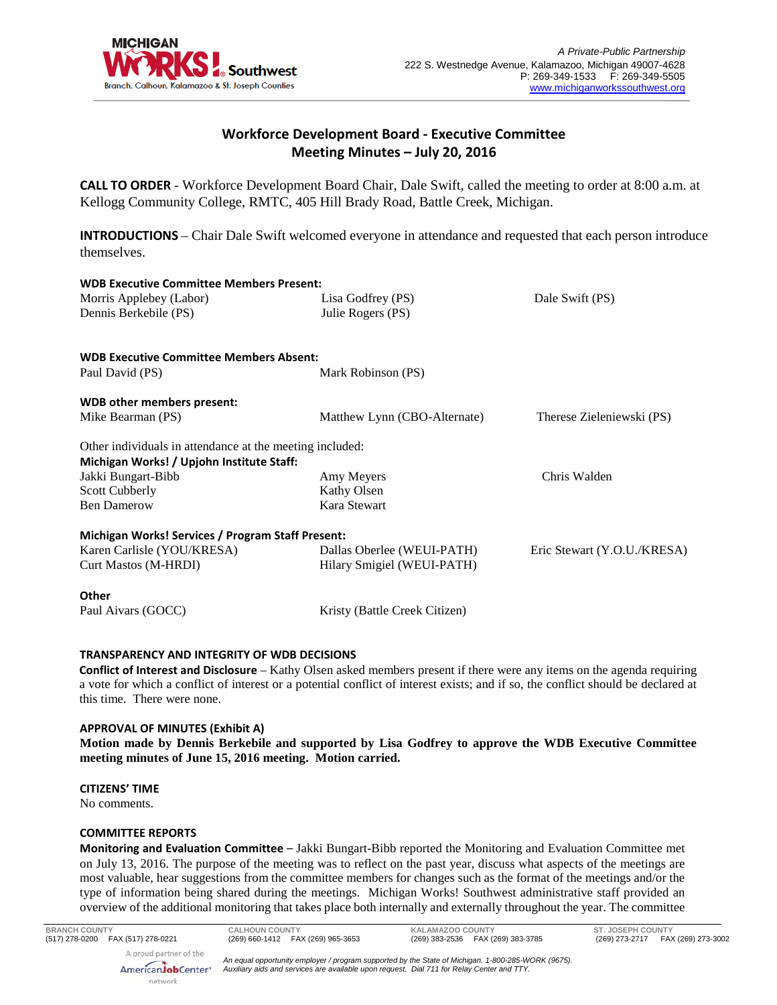

# **Workforce Development Board - Executive Committee Meeting Minutes – July 20, 2016**

**CALL TO ORDER** - Workforce Development Board Chair, Dale Swift, called the meeting to order at 8:00 a.m. at Kellogg Community College, RMTC, 405 Hill Brady Road, Battle Creek, Michigan.

**INTRODUCTIONS** – Chair Dale Swift welcomed everyone in attendance and requested that each person introduce themselves.

| <b>WDB Executive Committee Members Present:</b>          |                               |                             |
|----------------------------------------------------------|-------------------------------|-----------------------------|
| Morris Applebey (Labor)                                  | Lisa Godfrey (PS)             | Dale Swift (PS)             |
| Dennis Berkebile (PS)                                    | Julie Rogers (PS)             |                             |
| <b>WDB Executive Committee Members Absent:</b>           |                               |                             |
| Paul David (PS)                                          | Mark Robinson (PS)            |                             |
| WDB other members present:                               |                               |                             |
| Mike Bearman (PS)                                        | Matthew Lynn (CBO-Alternate)  | Therese Zieleniewski (PS)   |
| Other individuals in attendance at the meeting included: |                               |                             |
| Michigan Works! / Upjohn Institute Staff:                |                               |                             |
| Jakki Bungart-Bibb                                       | Amy Meyers                    | Chris Walden                |
| <b>Scott Cubberly</b>                                    | Kathy Olsen                   |                             |
| <b>Ben Damerow</b>                                       | Kara Stewart                  |                             |
| Michigan Works! Services / Program Staff Present:        |                               |                             |
| Karen Carlisle (YOU/KRESA)                               | Dallas Oberlee (WEUI-PATH)    | Eric Stewart (Y.O.U./KRESA) |
| Curt Mastos (M-HRDI)                                     | Hilary Smigiel (WEUI-PATH)    |                             |
| <b>Other</b>                                             |                               |                             |
| Paul Aivars (GOCC)                                       | Kristy (Battle Creek Citizen) |                             |

# **TRANSPARENCY AND INTEGRITY OF WDB DECISIONS**

**Conflict of Interest and Disclosure** – Kathy Olsen asked members present if there were any items on the agenda requiring a vote for which a conflict of interest or a potential conflict of interest exists; and if so, the conflict should be declared at this time. There were none.

### **APPROVAL OF MINUTES (Exhibit A)**

**Motion made by Dennis Berkebile and supported by Lisa Godfrey to approve the WDB Executive Committee meeting minutes of June 15, 2016 meeting. Motion carried.**

# **CITIZENS' TIME**

No comments.

### **COMMITTEE REPORTS**

network

**Monitoring and Evaluation Committee** – Jakki Bungart-Bibb reported the Monitoring and Evaluation Committee met on July 13, 2016. The purpose of the meeting was to reflect on the past year, discuss what aspects of the meetings are most valuable, hear suggestions from the committee members for changes such as the format of the meetings and/or the type of information being shared during the meetings. Michigan Works! Southwest administrative staff provided an overview of the additional monitoring that takes place both internally and externally throughout the year. The committee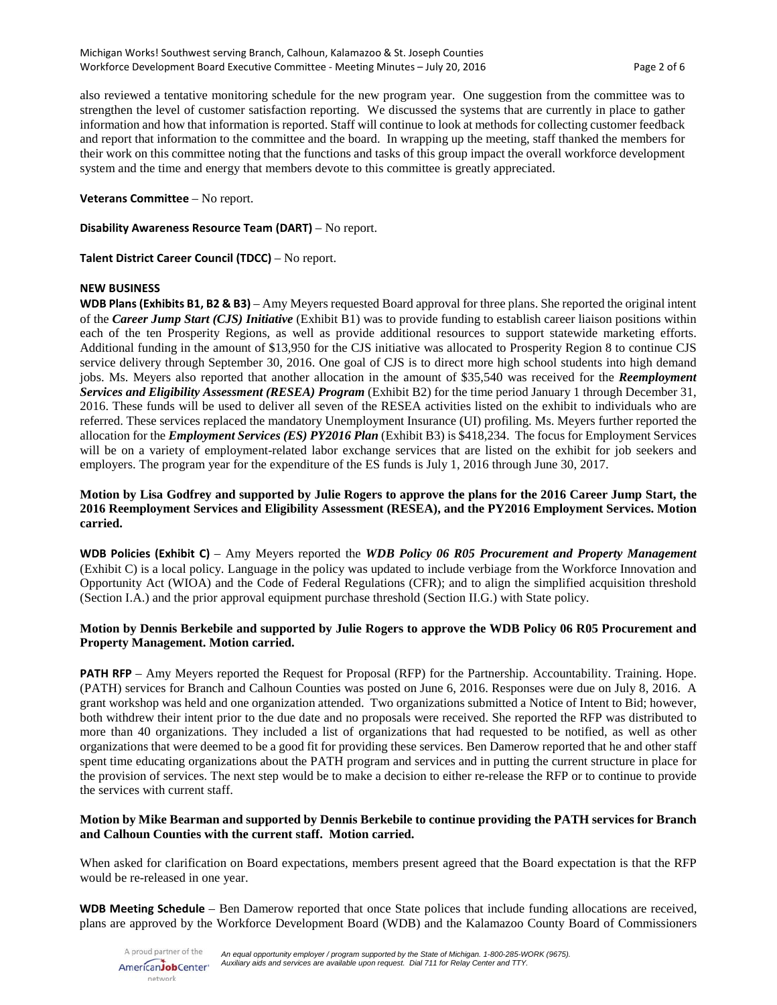also reviewed a tentative monitoring schedule for the new program year. One suggestion from the committee was to strengthen the level of customer satisfaction reporting. We discussed the systems that are currently in place to gather information and how that information is reported. Staff will continue to look at methods for collecting customer feedback and report that information to the committee and the board. In wrapping up the meeting, staff thanked the members for their work on this committee noting that the functions and tasks of this group impact the overall workforce development system and the time and energy that members devote to this committee is greatly appreciated.

# **Veterans Committee** – No report.

**Disability Awareness Resource Team (DART)** – No report.

**Talent District Career Council (TDCC)** – No report.

# **NEW BUSINESS**

**WDB Plans (Exhibits B1, B2 & B3)** – Amy Meyers requested Board approval for three plans. She reported the original intent of the *Career Jump Start (CJS) Initiative* (Exhibit B1) was to provide funding to establish career liaison positions within each of the ten Prosperity Regions, as well as provide additional resources to support statewide marketing efforts. Additional funding in the amount of \$13,950 for the CJS initiative was allocated to Prosperity Region 8 to continue CJS service delivery through September 30, 2016. One goal of CJS is to direct more high school students into high demand jobs. Ms. Meyers also reported that another allocation in the amount of \$35,540 was received for the *Reemployment Services and Eligibility Assessment (RESEA) Program* (Exhibit B2) for the time period January 1 through December 31, 2016. These funds will be used to deliver all seven of the RESEA activities listed on the exhibit to individuals who are referred. These services replaced the mandatory Unemployment Insurance (UI) profiling. Ms. Meyers further reported the allocation for the *Employment Services (ES) PY2016 Plan* (Exhibit B3) is \$418,234. The focus for Employment Services will be on a variety of employment-related labor exchange services that are listed on the exhibit for job seekers and employers. The program year for the expenditure of the ES funds is July 1, 2016 through June 30, 2017.

# **Motion by Lisa Godfrey and supported by Julie Rogers to approve the plans for the 2016 Career Jump Start, the 2016 Reemployment Services and Eligibility Assessment (RESEA), and the PY2016 Employment Services. Motion carried.**

**WDB Policies (Exhibit C)** – Amy Meyers reported the *WDB Policy 06 R05 Procurement and Property Management* (Exhibit C) is a local policy. Language in the policy was updated to include verbiage from the Workforce Innovation and Opportunity Act (WIOA) and the Code of Federal Regulations (CFR); and to align the simplified acquisition threshold (Section I.A.) and the prior approval equipment purchase threshold (Section II.G.) with State policy.

# **Motion by Dennis Berkebile and supported by Julie Rogers to approve the WDB Policy 06 R05 Procurement and Property Management. Motion carried.**

**PATH RFP** – Amy Meyers reported the Request for Proposal (RFP) for the Partnership. Accountability. Training. Hope. (PATH) services for Branch and Calhoun Counties was posted on June 6, 2016. Responses were due on July 8, 2016. A grant workshop was held and one organization attended. Two organizations submitted a Notice of Intent to Bid; however, both withdrew their intent prior to the due date and no proposals were received. She reported the RFP was distributed to more than 40 organizations. They included a list of organizations that had requested to be notified, as well as other organizations that were deemed to be a good fit for providing these services. Ben Damerow reported that he and other staff spent time educating organizations about the PATH program and services and in putting the current structure in place for the provision of services. The next step would be to make a decision to either re-release the RFP or to continue to provide the services with current staff.

# **Motion by Mike Bearman and supported by Dennis Berkebile to continue providing the PATH services for Branch and Calhoun Counties with the current staff. Motion carried.**

When asked for clarification on Board expectations, members present agreed that the Board expectation is that the RFP would be re-released in one year.

**WDB Meeting Schedule** – Ben Damerow reported that once State polices that include funding allocations are received, plans are approved by the Workforce Development Board (WDB) and the Kalamazoo County Board of Commissioners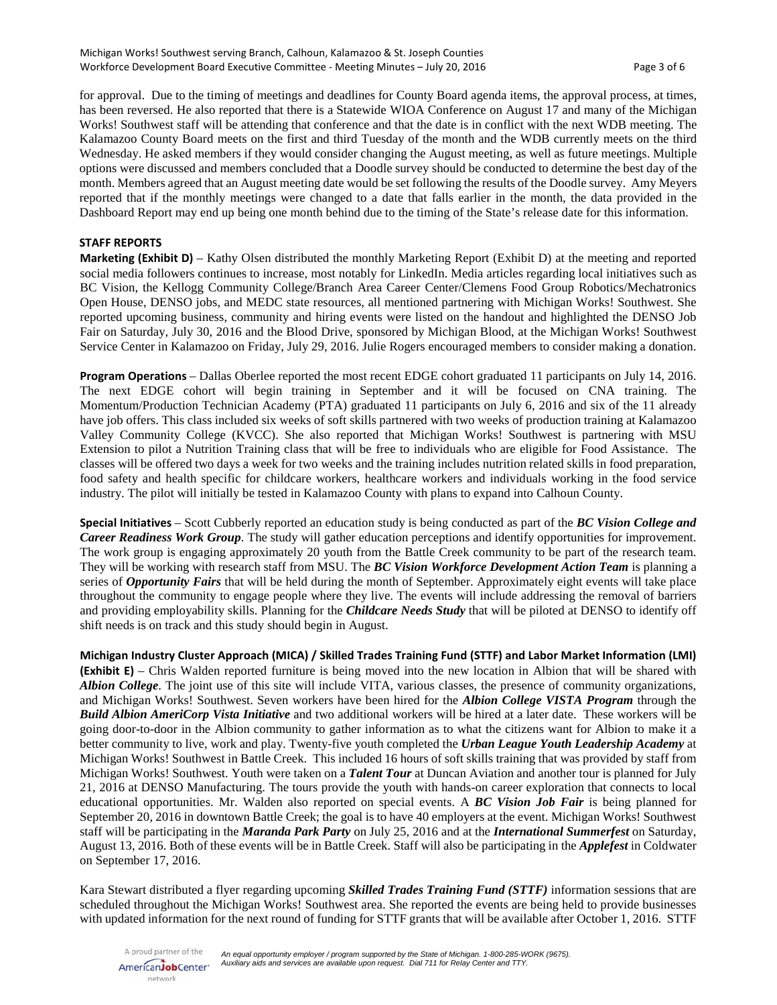for approval. Due to the timing of meetings and deadlines for County Board agenda items, the approval process, at times, has been reversed. He also reported that there is a Statewide WIOA Conference on August 17 and many of the Michigan Works! Southwest staff will be attending that conference and that the date is in conflict with the next WDB meeting. The Kalamazoo County Board meets on the first and third Tuesday of the month and the WDB currently meets on the third Wednesday. He asked members if they would consider changing the August meeting, as well as future meetings. Multiple options were discussed and members concluded that a Doodle survey should be conducted to determine the best day of the month. Members agreed that an August meeting date would be set following the results of the Doodle survey. Amy Meyers reported that if the monthly meetings were changed to a date that falls earlier in the month, the data provided in the Dashboard Report may end up being one month behind due to the timing of the State's release date for this information.

### **STAFF REPORTS**

**Marketing (Exhibit D)** – Kathy Olsen distributed the monthly Marketing Report (Exhibit D) at the meeting and reported social media followers continues to increase, most notably for LinkedIn. Media articles regarding local initiatives such as BC Vision, the Kellogg Community College/Branch Area Career Center/Clemens Food Group Robotics/Mechatronics Open House, DENSO jobs, and MEDC state resources, all mentioned partnering with Michigan Works! Southwest. She reported upcoming business, community and hiring events were listed on the handout and highlighted the DENSO Job Fair on Saturday, July 30, 2016 and the Blood Drive, sponsored by Michigan Blood, at the Michigan Works! Southwest Service Center in Kalamazoo on Friday, July 29, 2016. Julie Rogers encouraged members to consider making a donation.

**Program Operations** – Dallas Oberlee reported the most recent EDGE cohort graduated 11 participants on July 14, 2016. The next EDGE cohort will begin training in September and it will be focused on CNA training. The Momentum/Production Technician Academy (PTA) graduated 11 participants on July 6, 2016 and six of the 11 already have job offers. This class included six weeks of soft skills partnered with two weeks of production training at Kalamazoo Valley Community College (KVCC). She also reported that Michigan Works! Southwest is partnering with MSU Extension to pilot a Nutrition Training class that will be free to individuals who are eligible for Food Assistance. The classes will be offered two days a week for two weeks and the training includes nutrition related skills in food preparation, food safety and health specific for childcare workers, healthcare workers and individuals working in the food service industry. The pilot will initially be tested in Kalamazoo County with plans to expand into Calhoun County.

**Special Initiatives** – Scott Cubberly reported an education study is being conducted as part of the *BC Vision College and Career Readiness Work Group*. The study will gather education perceptions and identify opportunities for improvement. The work group is engaging approximately 20 youth from the Battle Creek community to be part of the research team. They will be working with research staff from MSU. The *BC Vision Workforce Development Action Team* is planning a series of *Opportunity Fairs* that will be held during the month of September. Approximately eight events will take place throughout the community to engage people where they live. The events will include addressing the removal of barriers and providing employability skills. Planning for the *Childcare Needs Study* that will be piloted at DENSO to identify off shift needs is on track and this study should begin in August.

**Michigan Industry Cluster Approach (MICA) / Skilled Trades Training Fund (STTF) and Labor Market Information (LMI) (Exhibit E)** – Chris Walden reported furniture is being moved into the new location in Albion that will be shared with *Albion College*. The joint use of this site will include VITA, various classes, the presence of community organizations, and Michigan Works! Southwest. Seven workers have been hired for the *Albion College VISTA Program* through the *Build Albion AmeriCorp Vista Initiative* and two additional workers will be hired at a later date. These workers will be going door-to-door in the Albion community to gather information as to what the citizens want for Albion to make it a better community to live, work and play. Twenty-five youth completed the *Urban League Youth Leadership Academy* at Michigan Works! Southwest in Battle Creek. This included 16 hours of soft skills training that was provided by staff from Michigan Works! Southwest. Youth were taken on a *Talent Tour* at Duncan Aviation and another tour is planned for July 21, 2016 at DENSO Manufacturing. The tours provide the youth with hands-on career exploration that connects to local educational opportunities. Mr. Walden also reported on special events. A *BC Vision Job Fair* is being planned for September 20, 2016 in downtown Battle Creek; the goal is to have 40 employers at the event. Michigan Works! Southwest staff will be participating in the *Maranda Park Party* on July 25, 2016 and at the *International Summerfest* on Saturday, August 13, 2016. Both of these events will be in Battle Creek. Staff will also be participating in the *Applefest* in Coldwater on September 17, 2016.

Kara Stewart distributed a flyer regarding upcoming *Skilled Trades Training Fund (STTF)* information sessions that are scheduled throughout the Michigan Works! Southwest area. She reported the events are being held to provide businesses with updated information for the next round of funding for STTF grants that will be available after October 1, 2016. STTF

A proud partner of the *An equal opportunity employer / program supported by the State of Michigan. 1-800-285-WORK (9675). Auxiliary aids and services are available upon request. Dial 711 for Relay Center and TTY.* AmericanJobCenter\* network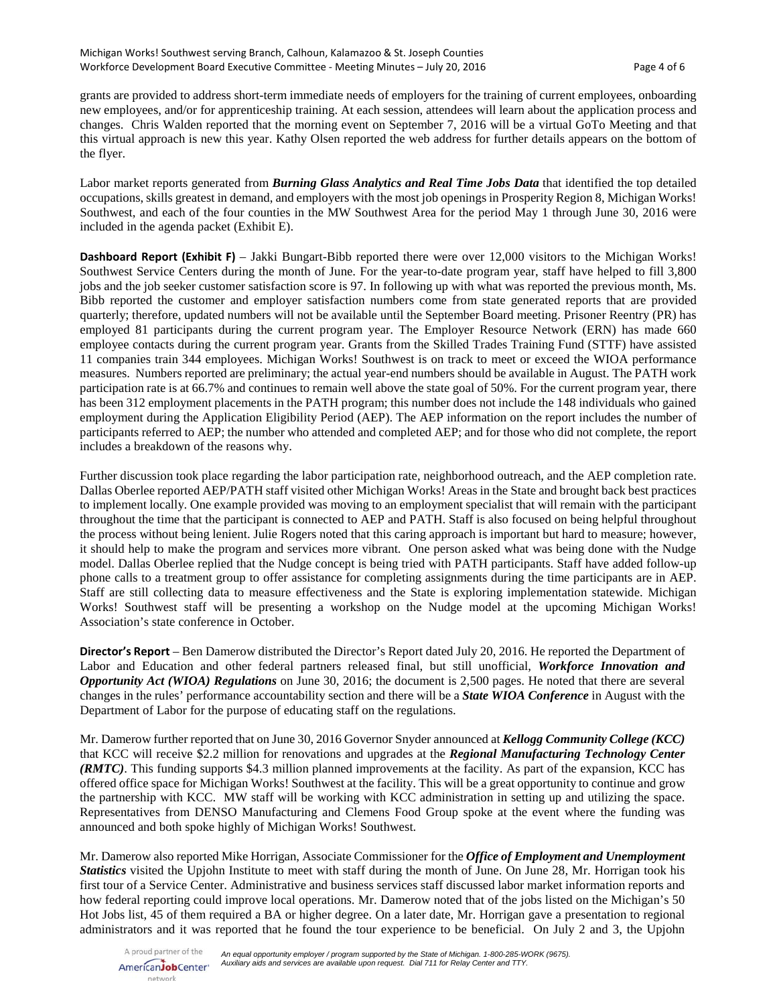grants are provided to address short-term immediate needs of employers for the training of current employees, onboarding new employees, and/or for apprenticeship training. At each session, attendees will learn about the application process and changes. Chris Walden reported that the morning event on September 7, 2016 will be a virtual GoTo Meeting and that this virtual approach is new this year. Kathy Olsen reported the web address for further details appears on the bottom of the flyer.

Labor market reports generated from *Burning Glass Analytics and Real Time Jobs Data* that identified the top detailed occupations, skills greatest in demand, and employers with the most job openings in Prosperity Region 8, Michigan Works! Southwest, and each of the four counties in the MW Southwest Area for the period May 1 through June 30, 2016 were included in the agenda packet (Exhibit E).

**Dashboard Report (Exhibit F)** – Jakki Bungart-Bibb reported there were over 12,000 visitors to the Michigan Works! Southwest Service Centers during the month of June. For the year-to-date program year, staff have helped to fill 3,800 jobs and the job seeker customer satisfaction score is 97. In following up with what was reported the previous month, Ms. Bibb reported the customer and employer satisfaction numbers come from state generated reports that are provided quarterly; therefore, updated numbers will not be available until the September Board meeting. Prisoner Reentry (PR) has employed 81 participants during the current program year. The Employer Resource Network (ERN) has made 660 employee contacts during the current program year. Grants from the Skilled Trades Training Fund (STTF) have assisted 11 companies train 344 employees. Michigan Works! Southwest is on track to meet or exceed the WIOA performance measures. Numbers reported are preliminary; the actual year-end numbers should be available in August. The PATH work participation rate is at 66.7% and continues to remain well above the state goal of 50%. For the current program year, there has been 312 employment placements in the PATH program; this number does not include the 148 individuals who gained employment during the Application Eligibility Period (AEP). The AEP information on the report includes the number of participants referred to AEP; the number who attended and completed AEP; and for those who did not complete, the report includes a breakdown of the reasons why.

Further discussion took place regarding the labor participation rate, neighborhood outreach, and the AEP completion rate. Dallas Oberlee reported AEP/PATH staff visited other Michigan Works! Areas in the State and brought back best practices to implement locally. One example provided was moving to an employment specialist that will remain with the participant throughout the time that the participant is connected to AEP and PATH. Staff is also focused on being helpful throughout the process without being lenient. Julie Rogers noted that this caring approach is important but hard to measure; however, it should help to make the program and services more vibrant. One person asked what was being done with the Nudge model. Dallas Oberlee replied that the Nudge concept is being tried with PATH participants. Staff have added follow-up phone calls to a treatment group to offer assistance for completing assignments during the time participants are in AEP. Staff are still collecting data to measure effectiveness and the State is exploring implementation statewide. Michigan Works! Southwest staff will be presenting a workshop on the Nudge model at the upcoming Michigan Works! Association's state conference in October.

**Director's Report** – Ben Damerow distributed the Director's Report dated July 20, 2016. He reported the Department of Labor and Education and other federal partners released final, but still unofficial, *Workforce Innovation and Opportunity Act (WIOA) Regulations* on June 30, 2016; the document is 2,500 pages. He noted that there are several changes in the rules' performance accountability section and there will be a *State WIOA Conference* in August with the Department of Labor for the purpose of educating staff on the regulations.

Mr. Damerow further reported that on June 30, 2016 Governor Snyder announced at *Kellogg Community College (KCC)* that KCC will receive \$2.2 million for renovations and upgrades at the *Regional Manufacturing Technology Center (RMTC)*. This funding supports \$4.3 million planned improvements at the facility. As part of the expansion, KCC has offered office space for Michigan Works! Southwest at the facility. This will be a great opportunity to continue and grow the partnership with KCC. MW staff will be working with KCC administration in setting up and utilizing the space. Representatives from DENSO Manufacturing and Clemens Food Group spoke at the event where the funding was announced and both spoke highly of Michigan Works! Southwest.

Mr. Damerow also reported Mike Horrigan, Associate Commissioner for the *Office of Employment and Unemployment Statistics* visited the Upjohn Institute to meet with staff during the month of June. On June 28, Mr. Horrigan took his first tour of a Service Center. Administrative and business services staff discussed labor market information reports and how federal reporting could improve local operations. Mr. Damerow noted that of the jobs listed on the Michigan's 50 Hot Jobs list, 45 of them required a BA or higher degree. On a later date, Mr. Horrigan gave a presentation to regional administrators and it was reported that he found the tour experience to be beneficial. On July 2 and 3, the Upjohn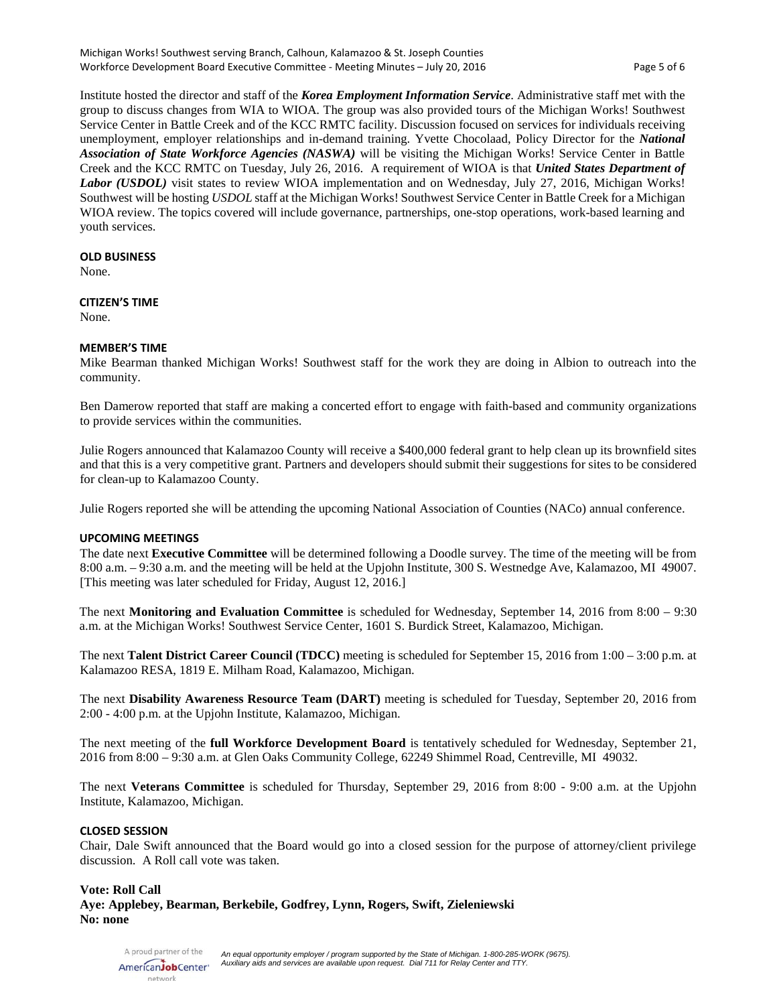Institute hosted the director and staff of the *Korea Employment Information Service*. Administrative staff met with the group to discuss changes from WIA to WIOA. The group was also provided tours of the Michigan Works! Southwest Service Center in Battle Creek and of the KCC RMTC facility. Discussion focused on services for individuals receiving unemployment, employer relationships and in-demand training. Yvette Chocolaad, Policy Director for the *National Association of State Workforce Agencies (NASWA)* will be visiting the Michigan Works! Service Center in Battle Creek and the KCC RMTC on Tuesday, July 26, 2016. A requirement of WIOA is that *United States Department of Labor (USDOL)* visit states to review WIOA implementation and on Wednesday, July 27, 2016, Michigan Works! Southwest will be hosting *USDOL* staff at the Michigan Works! Southwest Service Center in Battle Creek for a Michigan WIOA review. The topics covered will include governance, partnerships, one-stop operations, work-based learning and youth services.

#### **OLD BUSINESS**

None.

#### **CITIZEN'S TIME**

None.

#### **MEMBER'S TIME**

Mike Bearman thanked Michigan Works! Southwest staff for the work they are doing in Albion to outreach into the community.

Ben Damerow reported that staff are making a concerted effort to engage with faith-based and community organizations to provide services within the communities.

Julie Rogers announced that Kalamazoo County will receive a \$400,000 federal grant to help clean up its brownfield sites and that this is a very competitive grant. Partners and developers should submit their suggestions for sites to be considered for clean-up to Kalamazoo County.

Julie Rogers reported she will be attending the upcoming National Association of Counties (NACo) annual conference.

### **UPCOMING MEETINGS**

The date next **Executive Committee** will be determined following a Doodle survey. The time of the meeting will be from 8:00 a.m. – 9:30 a.m. and the meeting will be held at the Upjohn Institute, 300 S. Westnedge Ave, Kalamazoo, MI 49007. [This meeting was later scheduled for Friday, August 12, 2016.]

The next **Monitoring and Evaluation Committee** is scheduled for Wednesday, September 14, 2016 from 8:00 – 9:30 a.m. at the Michigan Works! Southwest Service Center, 1601 S. Burdick Street, Kalamazoo, Michigan.

The next **Talent District Career Council (TDCC)** meeting is scheduled for September 15, 2016 from 1:00 – 3:00 p.m. at Kalamazoo RESA, 1819 E. Milham Road, Kalamazoo, Michigan.

The next **Disability Awareness Resource Team (DART)** meeting is scheduled for Tuesday, September 20, 2016 from 2:00 - 4:00 p.m. at the Upjohn Institute, Kalamazoo, Michigan.

The next meeting of the **full Workforce Development Board** is tentatively scheduled for Wednesday, September 21, 2016 from 8:00 – 9:30 a.m. at Glen Oaks Community College, 62249 Shimmel Road, Centreville, MI 49032.

The next **Veterans Committee** is scheduled for Thursday, September 29, 2016 from 8:00 - 9:00 a.m. at the Upjohn Institute, Kalamazoo, Michigan.

#### **CLOSED SESSION**

Chair, Dale Swift announced that the Board would go into a closed session for the purpose of attorney/client privilege discussion. A Roll call vote was taken.

# **Vote: Roll Call Aye: Applebey, Bearman, Berkebile, Godfrey, Lynn, Rogers, Swift, Zieleniewski No: none**

A proud partner of the *An equal opportunity employer / program supported by the State of Michigan. 1-800-285-WORK (9675). Auxiliary aids and services are available upon request. Dial 711 for Relay Center and TTY.* AmericanJobCenter\* network